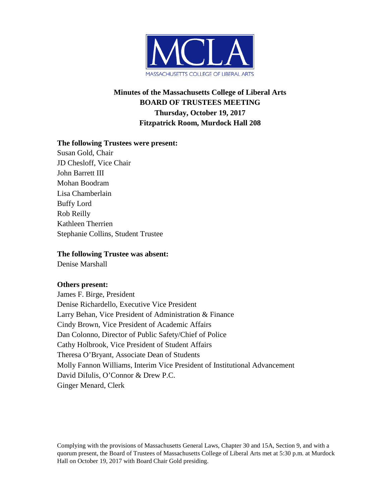

# **Minutes of the Massachusetts College of Liberal Arts BOARD OF TRUSTEES MEETING Thursday, October 19, 2017 Fitzpatrick Room, Murdock Hall 208**

#### **The following Trustees were present:**

Susan Gold, Chair JD Chesloff, Vice Chair John Barrett III Mohan Boodram Lisa Chamberlain Buffy Lord Rob Reilly Kathleen Therrien Stephanie Collins, Student Trustee

#### **The following Trustee was absent:**

Denise Marshall

#### **Others present:**

James F. Birge, President Denise Richardello, Executive Vice President Larry Behan, Vice President of Administration & Finance Cindy Brown, Vice President of Academic Affairs Dan Colonno, Director of Public Safety/Chief of Police Cathy Holbrook, Vice President of Student Affairs Theresa O'Bryant, Associate Dean of Students Molly Fannon Williams, Interim Vice President of Institutional Advancement David DiIulis, O'Connor & Drew P.C. Ginger Menard, Clerk

Complying with the provisions of Massachusetts General Laws, Chapter 30 and 15A, Section 9, and with a quorum present, the Board of Trustees of Massachusetts College of Liberal Arts met at 5:30 p.m. at Murdock Hall on October 19, 2017 with Board Chair Gold presiding.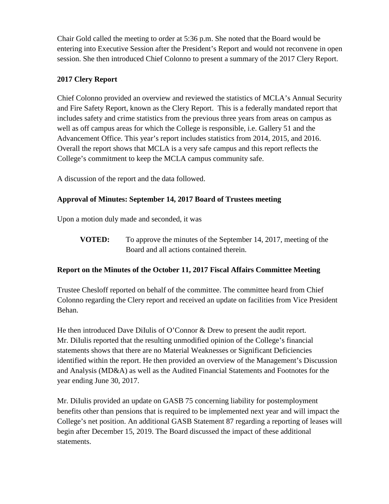Chair Gold called the meeting to order at 5:36 p.m. She noted that the Board would be entering into Executive Session after the President's Report and would not reconvene in open session. She then introduced Chief Colonno to present a summary of the 2017 Clery Report.

## **2017 Clery Report**

Chief Colonno provided an overview and reviewed the statistics of MCLA's Annual Security and Fire Safety Report, known as the Clery Report. This is a federally mandated report that includes safety and crime statistics from the previous three years from areas on campus as well as off campus areas for which the College is responsible, i.e. Gallery 51 and the Advancement Office. This year's report includes statistics from 2014, 2015, and 2016. Overall the report shows that MCLA is a very safe campus and this report reflects the College's commitment to keep the MCLA campus community safe.

A discussion of the report and the data followed.

# **Approval of Minutes: September 14, 2017 Board of Trustees meeting**

Upon a motion duly made and seconded, it was

**VOTED:** To approve the minutes of the September 14, 2017, meeting of the Board and all actions contained therein.

### **Report on the Minutes of the October 11, 2017 Fiscal Affairs Committee Meeting**

Trustee Chesloff reported on behalf of the committee. The committee heard from Chief Colonno regarding the Clery report and received an update on facilities from Vice President Behan.

He then introduced Dave DiIulis of O'Connor & Drew to present the audit report. Mr. DiIulis reported that the resulting unmodified opinion of the College's financial statements shows that there are no Material Weaknesses or Significant Deficiencies identified within the report. He then provided an overview of the Management's Discussion and Analysis (MD&A) as well as the Audited Financial Statements and Footnotes for the year ending June 30, 2017.

Mr. DiIulis provided an update on GASB 75 concerning liability for postemployment benefits other than pensions that is required to be implemented next year and will impact the College's net position. An additional GASB Statement 87 regarding a reporting of leases will begin after December 15, 2019. The Board discussed the impact of these additional statements.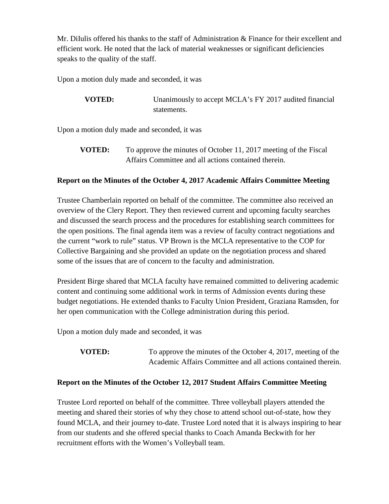Mr. DiIulis offered his thanks to the staff of Administration & Finance for their excellent and efficient work. He noted that the lack of material weaknesses or significant deficiencies speaks to the quality of the staff.

Upon a motion duly made and seconded, it was

**VOTED:** Unanimously to accept MCLA's FY 2017 audited financial statements.

Upon a motion duly made and seconded, it was

**VOTED:** To approve the minutes of October 11, 2017 meeting of the Fiscal Affairs Committee and all actions contained therein.

### **Report on the Minutes of the October 4, 2017 Academic Affairs Committee Meeting**

Trustee Chamberlain reported on behalf of the committee. The committee also received an overview of the Clery Report. They then reviewed current and upcoming faculty searches and discussed the search process and the procedures for establishing search committees for the open positions. The final agenda item was a review of faculty contract negotiations and the current "work to rule" status. VP Brown is the MCLA representative to the COP for Collective Bargaining and she provided an update on the negotiation process and shared some of the issues that are of concern to the faculty and administration.

President Birge shared that MCLA faculty have remained committed to delivering academic content and continuing some additional work in terms of Admission events during these budget negotiations. He extended thanks to Faculty Union President, Graziana Ramsden, for her open communication with the College administration during this period.

Upon a motion duly made and seconded, it was

**VOTED:** To approve the minutes of the October 4, 2017, meeting of the Academic Affairs Committee and all actions contained therein.

### **Report on the Minutes of the October 12, 2017 Student Affairs Committee Meeting**

Trustee Lord reported on behalf of the committee. Three volleyball players attended the meeting and shared their stories of why they chose to attend school out-of-state, how they found MCLA, and their journey to-date. Trustee Lord noted that it is always inspiring to hear from our students and she offered special thanks to Coach Amanda Beckwith for her recruitment efforts with the Women's Volleyball team.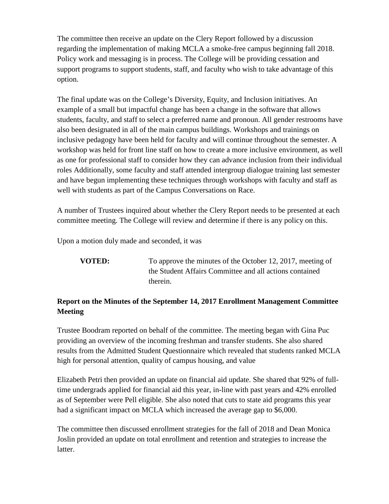The committee then receive an update on the Clery Report followed by a discussion regarding the implementation of making MCLA a smoke-free campus beginning fall 2018. Policy work and messaging is in process. The College will be providing cessation and support programs to support students, staff, and faculty who wish to take advantage of this option.

The final update was on the College's Diversity, Equity, and Inclusion initiatives. An example of a small but impactful change has been a change in the software that allows students, faculty, and staff to select a preferred name and pronoun. All gender restrooms have also been designated in all of the main campus buildings. Workshops and trainings on inclusive pedagogy have been held for faculty and will continue throughout the semester. A workshop was held for front line staff on how to create a more inclusive environment, as well as one for professional staff to consider how they can advance inclusion from their individual roles Additionally, some faculty and staff attended intergroup dialogue training last semester and have begun implementing these techniques through workshops with faculty and staff as well with students as part of the Campus Conversations on Race.

A number of Trustees inquired about whether the Clery Report needs to be presented at each committee meeting. The College will review and determine if there is any policy on this.

Upon a motion duly made and seconded, it was

**VOTED:** To approve the minutes of the October 12, 2017, meeting of the Student Affairs Committee and all actions contained therein.

# **Report on the Minutes of the September 14, 2017 Enrollment Management Committee Meeting**

Trustee Boodram reported on behalf of the committee. The meeting began with Gina Puc providing an overview of the incoming freshman and transfer students. She also shared results from the Admitted Student Questionnaire which revealed that students ranked MCLA high for personal attention, quality of campus housing, and value

Elizabeth Petri then provided an update on financial aid update. She shared that 92% of fulltime undergrads applied for financial aid this year, in-line with past years and 42% enrolled as of September were Pell eligible. She also noted that cuts to state aid programs this year had a significant impact on MCLA which increased the average gap to \$6,000.

The committee then discussed enrollment strategies for the fall of 2018 and Dean Monica Joslin provided an update on total enrollment and retention and strategies to increase the latter.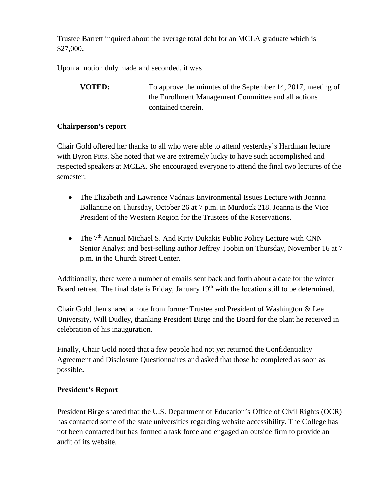Trustee Barrett inquired about the average total debt for an MCLA graduate which is \$27,000.

Upon a motion duly made and seconded, it was

**VOTED:** To approve the minutes of the September 14, 2017, meeting of the Enrollment Management Committee and all actions contained therein.

### **Chairperson's report**

Chair Gold offered her thanks to all who were able to attend yesterday's Hardman lecture with Byron Pitts. She noted that we are extremely lucky to have such accomplished and respected speakers at MCLA. She encouraged everyone to attend the final two lectures of the semester:

- The Elizabeth and Lawrence Vadnais Environmental Issues Lecture with Joanna Ballantine on Thursday, October 26 at 7 p.m. in Murdock 218. Joanna is the Vice President of the Western Region for the Trustees of the Reservations.
- The 7<sup>th</sup> Annual Michael S. And Kitty Dukakis Public Policy Lecture with CNN Senior Analyst and best-selling author Jeffrey Toobin on Thursday, November 16 at 7 p.m. in the Church Street Center.

Additionally, there were a number of emails sent back and forth about a date for the winter Board retreat. The final date is Friday, January 19<sup>th</sup> with the location still to be determined.

Chair Gold then shared a note from former Trustee and President of Washington & Lee University, Will Dudley, thanking President Birge and the Board for the plant he received in celebration of his inauguration.

Finally, Chair Gold noted that a few people had not yet returned the Confidentiality Agreement and Disclosure Questionnaires and asked that those be completed as soon as possible.

# **President's Report**

President Birge shared that the U.S. Department of Education's Office of Civil Rights (OCR) has contacted some of the state universities regarding website accessibility. The College has not been contacted but has formed a task force and engaged an outside firm to provide an audit of its website.